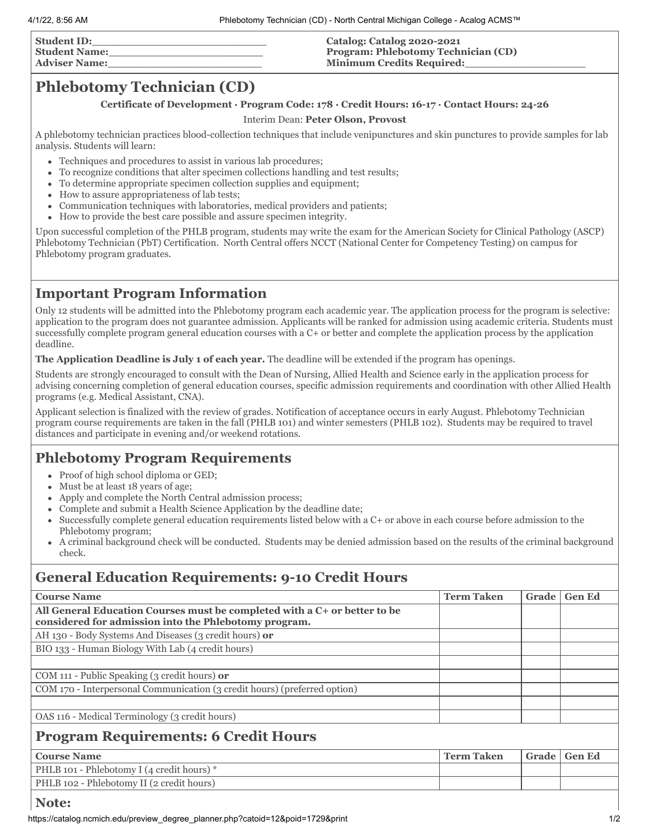| <b>Student ID:</b>   | Catalog: Catalog 2020-2021                 |
|----------------------|--------------------------------------------|
| <b>Student Name:</b> | <b>Program: Phlebotomy Technician (CD)</b> |
| Adviser Name:        | <b>Minimum Credits Required:</b>           |
|                      |                                            |

# **Phlebotomy Technician (CD)**

### **Certificate of Development · Program Code: 178 · Credit Hours: 16-17 ∙ Contact Hours: 24-26**

#### Interim Dean: **Peter Olson, Provost**

A phlebotomy technician practices blood-collection techniques that include venipunctures and skin punctures to provide samples for lab analysis. Students will learn:

- Techniques and procedures to assist in various lab procedures;
- $\bullet$ To recognize conditions that alter specimen collections handling and test results;
- To determine appropriate specimen collection supplies and equipment;  $\bullet$
- How to assure appropriateness of lab tests;  $\bullet$
- Communication techniques with laboratories, medical providers and patients;  $\bullet$
- How to provide the best care possible and assure specimen integrity.

Upon successful completion of the PHLB program, students may write the exam for the American Society for Clinical Pathology (ASCP) Phlebotomy Technician (PbT) Certification. North Central offers NCCT (National Center for Competency Testing) on campus for Phlebotomy program graduates.

## **Important Program Information**

Only 12 students will be admitted into the Phlebotomy program each academic year. The application process for the program is selective: application to the program does not guarantee admission. Applicants will be ranked for admission using academic criteria. Students must successfully complete program general education courses with a C+ or better and complete the application process by the application deadline.

**The Application Deadline is July 1 of each year.** The deadline will be extended if the program has openings.

Students are strongly encouraged to consult with the Dean of Nursing, Allied Health and Science early in the application process for advising concerning completion of general education courses, specific admission requirements and coordination with other Allied Health programs (e.g. Medical Assistant, CNA).

Applicant selection is finalized with the review of grades. Notification of acceptance occurs in early August. Phlebotomy Technician program course requirements are taken in the fall (PHLB 101) and winter semesters (PHLB 102). Students may be required to travel distances and participate in evening and/or weekend rotations.

# **Phlebotomy Program Requirements**

- Proof of high school diploma or GED;
- Must be at least 18 years of age;
- Apply and complete the North Central admission process;
- Complete and submit a Health Science Application by the deadline date;  $\bullet$
- Successfully complete general education requirements listed below with a C+ or above in each course before admission to the Phlebotomy program;
- A criminal background check will be conducted. Students may be denied admission based on the results of the criminal background check.

# **General Education Requirements: 9-10 Credit Hours**

| <b>Course Name</b>                                                        | <b>Term Taken</b> | Grade | <b>Gen Ed</b> |
|---------------------------------------------------------------------------|-------------------|-------|---------------|
| All General Education Courses must be completed with a C+ or better to be |                   |       |               |
| considered for admission into the Phlebotomy program.                     |                   |       |               |
| AH 130 - Body Systems And Diseases (3 credit hours) or                    |                   |       |               |
| BIO 133 - Human Biology With Lab (4 credit hours)                         |                   |       |               |
|                                                                           |                   |       |               |
| COM 111 - Public Speaking (3 credit hours) or                             |                   |       |               |
| COM 170 - Interpersonal Communication (3 credit hours) (preferred option) |                   |       |               |
|                                                                           |                   |       |               |
| OAS 116 - Medical Terminology (3 credit hours)                            |                   |       |               |
| <b>Program Requirements: 6 Credit Hours</b>                               |                   |       |               |
| <b>Course Name</b>                                                        | <b>Term Taken</b> | Grade | <b>Gen Ed</b> |
| PHLB 101 - Phlebotomy I (4 credit hours) *                                |                   |       |               |
| PHLB 102 - Phlebotomy II (2 credit hours)                                 |                   |       |               |

### **Note:**